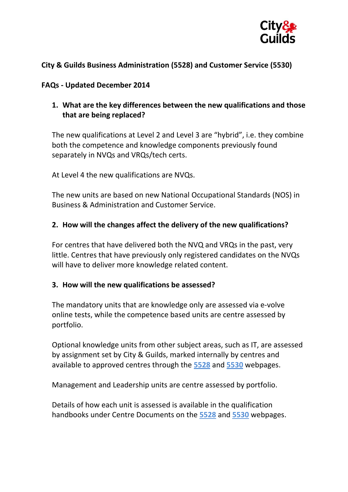

## **City & Guilds Business Administration (5528) and Customer Service (5530)**

#### **FAQs - Updated December 2014**

## **1. What are the key differences between the new qualifications and those that are being replaced?**

The new qualifications at Level 2 and Level 3 are "hybrid", i.e. they combine both the competence and knowledge components previously found separately in NVQs and VRQs/tech certs.

At Level 4 the new qualifications are NVQs.

The new units are based on new National Occupational Standards (NOS) in Business & Administration and Customer Service.

### **2. How will the changes affect the delivery of the new qualifications?**

For centres that have delivered both the NVQ and VRQs in the past, very little. Centres that have previously only registered candidates on the NVQs will have to deliver more knowledge related content.

#### **3. How will the new qualifications be assessed?**

The mandatory units that are knowledge only are assessed via e-volve online tests, while the competence based units are centre assessed by portfolio.

Optional knowledge units from other subject areas, such as IT, are assessed by assignment set by City & Guilds, marked internally by centres and available to approved centres through the **[5528](http://www.cityandguilds.com/qualifications-and-apprenticeships/business-skills/business-admin-and-public-services/5528-business-administration#tab=documents)** and **[5530](http://www.cityandguilds.com/qualifications-and-apprenticeships/business-skills/customer-service-and-contact-centre/5530-customer-service#tab=documents)** webpages.

Management and Leadership units are centre assessed by portfolio.

Details of how each unit is assessed is available in the qualification handbooks under Centre Documents on the **[5528](http://www.cityandguilds.com/qualifications-and-apprenticeships/business-skills/business-admin-and-public-services/5528-business-administration#tab=documents)** and **[5530](http://www.cityandguilds.com/qualifications-and-apprenticeships/business-skills/customer-service-and-contact-centre/5530-customer-service#tab=documents)** webpages.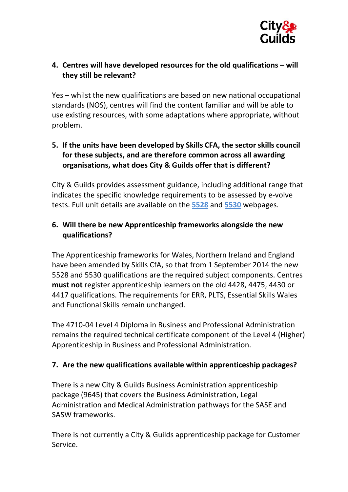

# **4. Centres will have developed resources for the old qualifications – will they still be relevant?**

Yes – whilst the new qualifications are based on new national occupational standards (NOS), centres will find the content familiar and will be able to use existing resources, with some adaptations where appropriate, without problem.

# **5. If the units have been developed by Skills CFA, the sector skills council for these subjects, and are therefore common across all awarding organisations, what does City & Guilds offer that is different?**

City & Guilds provides assessment guidance, including additional range that indicates the specific knowledge requirements to be assessed by e-volve tests. Full unit details are available on the **[5528](http://www.cityandguilds.com/qualifications-and-apprenticeships/business-skills/business-admin-and-public-services/5528-business-administration#tab=documents)** and **[5530](http://www.cityandguilds.com/qualifications-and-apprenticeships/business-skills/customer-service-and-contact-centre/5530-customer-service#tab=documents)** webpages.

# **6. Will there be new Apprenticeship frameworks alongside the new qualifications?**

The Apprenticeship frameworks for Wales, Northern Ireland and England have been amended by Skills CfA, so that from 1 September 2014 the new 5528 and 5530 qualifications are the required subject components. Centres **must not** register apprenticeship learners on the old 4428, 4475, 4430 or 4417 qualifications. The requirements for ERR, PLTS, Essential Skills Wales and Functional Skills remain unchanged.

The 4710-04 Level 4 Diploma in Business and Professional Administration remains the required technical certificate component of the Level 4 (Higher) Apprenticeship in Business and Professional Administration.

## **7. Are the new qualifications available within apprenticeship packages?**

There is a new City & Guilds Business Administration apprenticeship package (9645) that covers the Business Administration, Legal Administration and Medical Administration pathways for the SASE and SASW frameworks.

There is not currently a City & Guilds apprenticeship package for Customer Service.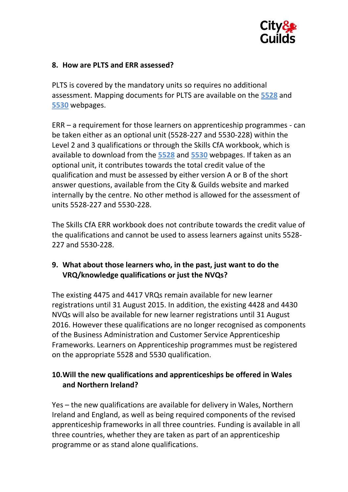

#### **8. How are PLTS and ERR assessed?**

PLTS is covered by the mandatory units so requires no additional assessment. Mapping documents for PLTS are available on the **[5528](http://www.cityandguilds.com/qualifications-and-apprenticeships/business-skills/business-admin-and-public-services/5528-business-administration#tab=documents)** and **[5530](http://www.cityandguilds.com/qualifications-and-apprenticeships/business-skills/customer-service-and-contact-centre/5530-customer-service#tab=documents)** webpages.

ERR – a requirement for those learners on apprenticeship programmes - can be taken either as an optional unit (5528-227 and 5530-228) within the Level 2 and 3 qualifications or through the Skills CfA workbook, which is available to download from the **[5528](http://www.cityandguilds.com/qualifications-and-apprenticeships/business-skills/business-admin-and-public-services/5528-business-administration#tab=documents)** and **[5530](http://www.cityandguilds.com/qualifications-and-apprenticeships/business-skills/customer-service-and-contact-centre/5530-customer-service#tab=documents)** webpages. If taken as an optional unit, it contributes towards the total credit value of the qualification and must be assessed by either version A or B of the short answer questions, available from the City & Guilds website and marked internally by the centre. No other method is allowed for the assessment of units 5528-227 and 5530-228.

The Skills CfA ERR workbook does not contribute towards the credit value of the qualifications and cannot be used to assess learners against units 5528- 227 and 5530-228.

## **9. What about those learners who, in the past, just want to do the VRQ/knowledge qualifications or just the NVQs?**

The existing 4475 and 4417 VRQs remain available for new learner registrations until 31 August 2015. In addition, the existing 4428 and 4430 NVQs will also be available for new learner registrations until 31 August 2016. However these qualifications are no longer recognised as components of the Business Administration and Customer Service Apprenticeship Frameworks. Learners on Apprenticeship programmes must be registered on the appropriate 5528 and 5530 qualification.

# **10.Will the new qualifications and apprenticeships be offered in Wales and Northern Ireland?**

Yes – the new qualifications are available for delivery in Wales, Northern Ireland and England, as well as being required components of the revised apprenticeship frameworks in all three countries. Funding is available in all three countries, whether they are taken as part of an apprenticeship programme or as stand alone qualifications.